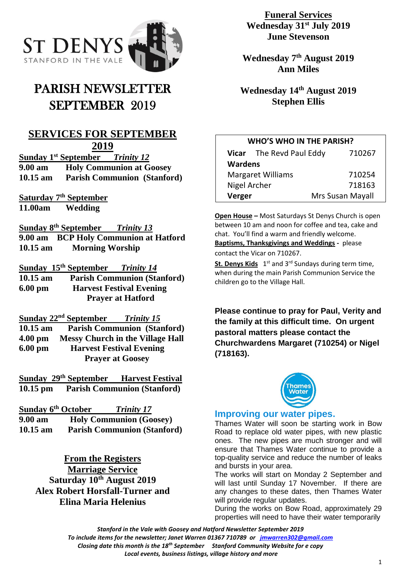

# PARISH NEWSLETTER SEPTEMBER 2019

# **SERVICES FOR SEPTEMBER 2019**

**Sunday 1 st September** *Trinity 12* **9.00 am Holy Communion at Goosey 10.15 am Parish Communion (Stanford)**

**Saturday 7th September 11.00am Wedding**

**Sunday 8 th September** *Trinity 13* **9.00 am BCP Holy Communion at Hatford 10.15 am Morning Worship**

**Sunday 15 th September** *Trinity 14* **10.15 am Parish Communion (Stanford) 6.00 pm Harvest Festival Evening Prayer at Hatford**

**Sunday 22nd September** *Trinity 15* **10.15 am Parish Communion (Stanford)**

**4.00 pm Messy Church in the Village Hall 6.00 pm Harvest Festival Evening Prayer at Goosey**

**Sunday 29th September Harvest Festival 10.15 pm Parish Communion (Stanford)**

| Sunday 6 <sup>th</sup> October | <b>Trinity 17</b>                  |
|--------------------------------|------------------------------------|
| 9.00 am                        | <b>Holy Communion (Goosey)</b>     |
| $10.15$ am                     | <b>Parish Communion (Stanford)</b> |

**From the Registers Marriage Service Saturday 10th August 2019 Alex Robert Horsfall-Turner and Elina Maria Helenius**

**Funeral Services Wednesday 31st July 2019 June Stevenson**

**Wednesday 7th August 2019 Ann Miles**

**Wednesday 14th August 2019 Stephen Ellis**

## **WHO'S WHO IN THE PARISH?**

|                          | Vicar The Revd Paul Eddy | 710267           |  |
|--------------------------|--------------------------|------------------|--|
| <b>Wardens</b>           |                          |                  |  |
| <b>Margaret Williams</b> |                          | 710254           |  |
| Nigel Archer             |                          | 718163           |  |
| Verger                   |                          | Mrs Susan Mayall |  |

**Open House –** Most Saturdays St Denys Church is open between 10 am and noon for coffee and tea, cake and chat. You'll find a warm and friendly welcome. **Baptisms, Thanksgivings and Weddings -** please contact the Vicar on 710267.

St. Denys Kids 1<sup>st</sup> and 3<sup>rd</sup> Sundays during term time, when during the main Parish Communion Service the children go to the Village Hall.

**Please continue to pray for Paul, Verity and the family at this difficult time. On urgent pastoral matters please contact the Churchwardens Margaret (710254) or Nigel (718163).**



## **Improving our water pipes.**

Thames Water will soon be starting work in Bow Road to replace old water pipes, with new plastic ones. The new pipes are much stronger and will ensure that Thames Water continue to provide a top-quality service and reduce the number of leaks and bursts in your area.

The works will start on Monday 2 September and will last until Sunday 17 November. If there are any changes to these dates, then Thames Water will provide regular updates.

During the works on Bow Road, approximately 29 properties will need to have their water temporarily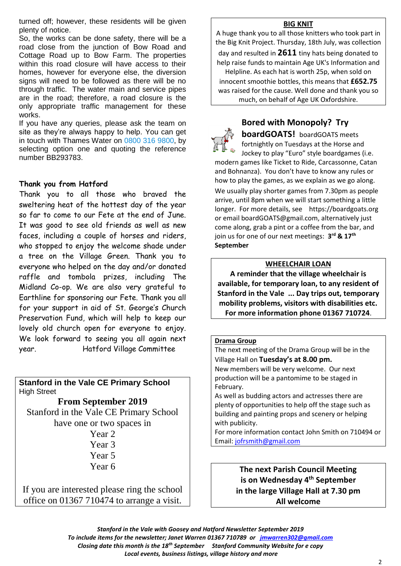turned off; however, these residents will be given plenty of notice.

So, the works can be done safety, there will be a road close from the junction of Bow Road and Cottage Road up to Bow Farm. The properties within this road closure will have access to their homes, however for everyone else, the diversion signs will need to be followed as there will be no through traffic. The water main and service pipes are in the road; therefore, a road closure is the only appropriate traffic management for these works.

If you have any queries, please ask the team on site as they're always happy to help. You can get in touch with Thames Water on 0800 316 9800, by selecting option one and quoting the reference number BB293783.

#### **Thank you from Hatford**

Thank you to all those who braved the sweltering heat of the hottest day of the year so far to come to our Fete at the end of June. It was good to see old friends as well as new faces, including a couple of horses and riders, who stopped to enjoy the welcome shade under a tree on the Village Green. Thank you to everyone who helped on the day and/or donated raffle and tombola prizes, including The Midland Co-op. We are also very grateful to Earthline for sponsoring our Fete. Thank you all for your support in aid of St. George's Church Preservation Fund, which will help to keep our lovely old church open for everyone to enjoy. We look forward to seeing you all again next year. Hatford Village Committee

**Stanford in the Vale CE Primary School** High Street

**From September 2019** Stanford in the Vale CE Primary School have one or two spaces in

Year 2 Year 3 Year 5 Year 6

If you are interested please ring the school office on 01367 710474 to arrange a visit.

#### **BIG KNIT**

A huge thank you to all those knitters who took part in the Big Knit Project. Thursday, 18th July, was collection day and resulted in **2611** tiny hats being donated to help raise funds to maintain Age UK's Information and Helpline. As each hat is worth 25p, when sold on innocent smoothie bottles, this means that **£652.75** was raised for the cause. Well done and thank you so much, on behalf of Age UK Oxfordshire.

# **Bored with Monopoly? Try**

**boardGOATS!** boardGOATS meets fortnightly on Tuesdays at the Horse and Jockey to play "Euro" style boardgames (i.e.

modern games like Ticket to Ride, Carcassonne, Catan and Bohnanza). You don't have to know any rules or how to play the games, as we explain as we go along. We usually play shorter games from 7.30pm as people arrive, until 8pm when we will start something a little longer. For more details, see https://boardgoats.org or email boardGOATS@gmail.com, alternatively just come along, grab a pint or a coffee from the bar, and join us for one of our next meetings: **3 rd & 17th September**

#### **WHEELCHAIR LOAN**

**A reminder that the village wheelchair is available, for temporary loan, to any resident of Stanford in the Vale ... Day trips out, temporary mobility problems, visitors with disabilities etc. For more information phone 01367 710724**.

#### **Drama Group**

The next meeting of the Drama Group will be in the Village Hall on **Tuesday's at 8.00 pm.** New members will be very welcome. Our next production will be a pantomime to be staged in February. As well as budding actors and actresses there are plenty of opportunities to help off the stage such as building and painting props and scenery or helping with publicity. For more information contact John Smith on 710494 or Email: [jofrsmith@gmail.com](mailto:jofrsmith@gmail.com)

> **The next Parish Council Meeting is on Wednesday 4 th September in the large Village Hall at 7.30 pm All welcome**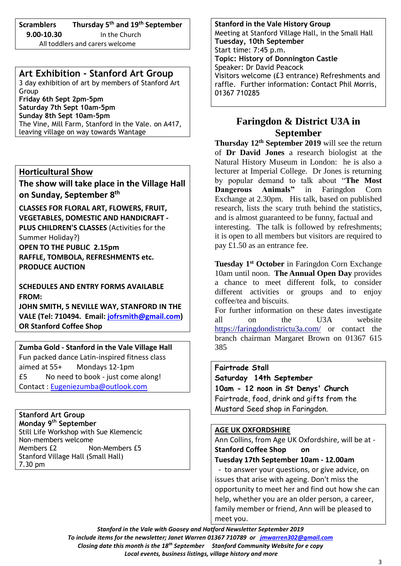# **Scramblers Thursday 5 th and 19th September**

 **9.00-10.30** In the Church All toddlers and carers welcome

## **Art Exhibition - Stanford Art Group**

3 day exhibition of art by members of Stanford Art Group

**Friday 6th Sept 2pm-5pm Saturday 7th Sept 10am-5pm Sunday 8th Sept 10am-5pm** The Vine, Mill Farm, Stanford in the Vale. on A417, leaving village on way towards Wantage

### **Horticultural Show**

**The show will take place in the Village Hall on Sunday, September 8 th**

**CLASSES FOR FLORAL ART, FLOWERS, FRUIT, VEGETABLES, DOMESTIC AND HANDICRAFT - PLUS CHILDREN'S CLASSES** (Activities for the Summer Holiday?)

**OPEN TO THE PUBLIC 2.15pm RAFFLE, TOMBOLA, REFRESHMENTS etc. PRODUCE AUCTION**

**SCHEDULES AND ENTRY FORMS AVAILABLE FROM:**

**JOHN SMITH, 5 NEVILLE WAY, STANFORD IN THE VALE (Tel: 710494. Email: [jofrsmith@gmail.com\)](mailto:jofrsmith@gmail.com) OR Stanford Coffee Shop**

**Zumba Gold - Stanford in the Vale Village Hall** Fun packed dance Latin-inspired fitness class aimed at 55+ Mondays 12-1pm £5 No need to book - just come along! Contact : [Eugeniezumba@outlook.com](mailto:Eugeniezumba@outlook.com)

**Stanford Art Group Monday 9 th September** Still Life Workshop with Sue Klemencic Non-members welcome Members £2 Non-Members £5 Stanford Village Hall (Small Hall) 7.30 pm

**Stanford in the Vale History Group** Meeting at Stanford Village Hall, in the Small Hall **Tuesday, 10th September** Start time: 7:45 p.m. **Topic: History of Donnington Castle** Speaker: Dr David Peacock Visitors welcome (£3 entrance) Refreshments and raffle. Further information: Contact Phil Morris, 01367 710285

# **Faringdon & District U3A in September**

**Thursday 12th September 2019** will see the return of **Dr David Jones** a research biologist at the Natural History Museum in London: he is also a lecturer at Imperial College. Dr Jones is returning by popular demand to talk about "**The Most Dangerous Animals"** in Faringdon Corn Exchange at 2.30pm. His talk, based on published research, lists the scary truth behind the statistics, and is almost guaranteed to be funny, factual and interesting. The talk is followed by refreshments; it is open to all members but visitors are required to pay £1.50 as an entrance fee.

**Tuesday 1 st October** in Faringdon Corn Exchange 10am until noon. **The Annual Open Day** provides a chance to meet different folk, to consider different activities or groups and to enjoy coffee/tea and biscuits.

For further information on these dates investigate all on the U3A website <https://faringdondistrictu3a.com/> or contact the branch chairman Margaret Brown on 01367 615 385

#### **Fairtrade Stall**

**Saturday 14th September 10am - 12 noon in St Denys' Church** Fairtrade, food, drink and gifts from the Mustard Seed shop in Faringdon.

#### **AGE UK OXFORDSHIRE**

Ann Collins, from Age UK Oxfordshire, will be at - **Stanford Coffee Shop on Tuesday 17th September 10am - 12.00am**

- to answer your questions, or give advice, on issues that arise with ageing. Don't miss the opportunity to meet her and find out how she can help, whether you are an older person, a career, family member or friend, Ann will be pleased to meet you.